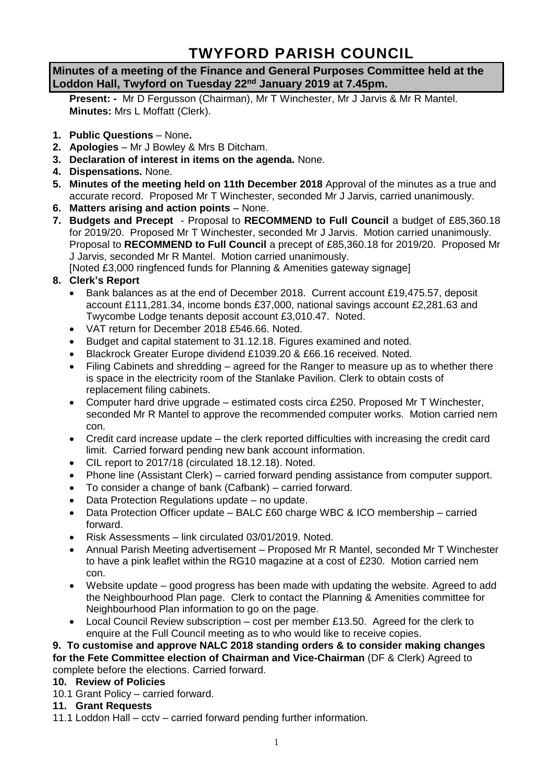# **TWYFORD PARISH COUNCIL**

## **Minutes of a meeting of the Finance and General Purposes Committee held at the Loddon Hall, Twyford on Tuesday 22nd January 2019 at 7.45pm.**

**Present: -** Mr D Fergusson (Chairman), Mr T Winchester, Mr J Jarvis & Mr R Mantel. **Minutes:** Mrs L Moffatt (Clerk).

- **1. Public Questions** None**.**
- **2. Apologies** Mr J Bowley & Mrs B Ditcham.
- **3. Declaration of interest in items on the agenda.** None.
- **4. Dispensations.** None.
- **5. Minutes of the meeting held on 11th December 2018** Approval of the minutes as a true and accurate record. Proposed Mr T Winchester, seconded Mr J Jarvis, carried unanimously.
- **6. Matters arising and action points** None.
- **7. Budgets and Precept**  Proposal to **RECOMMEND to Full Council** a budget of £85,360.18 for 2019/20. Proposed Mr T Winchester, seconded Mr J Jarvis. Motion carried unanimously. Proposal to **RECOMMEND to Full Council** a precept of £85,360.18 for 2019/20. Proposed Mr J Jarvis, seconded Mr R Mantel. Motion carried unanimously.

[Noted £3,000 ringfenced funds for Planning & Amenities gateway signage]

## **8. Clerk's Report**

- Bank balances as at the end of December 2018. Current account £19,475.57, deposit account £111,281.34, income bonds £37,000, national savings account £2,281.63 and Twycombe Lodge tenants deposit account £3,010.47. Noted.
- VAT return for December 2018 £546.66. Noted.
- Budget and capital statement to 31.12.18. Figures examined and noted.
- Blackrock Greater Europe dividend £1039.20 & £66.16 received. Noted.
- Filing Cabinets and shredding agreed for the Ranger to measure up as to whether there is space in the electricity room of the Stanlake Pavilion. Clerk to obtain costs of replacement filing cabinets.
- Computer hard drive upgrade estimated costs circa £250. Proposed Mr T Winchester, seconded Mr R Mantel to approve the recommended computer works. Motion carried nem con.
- Credit card increase update the clerk reported difficulties with increasing the credit card limit. Carried forward pending new bank account information.
- CIL report to 2017/18 (circulated 18.12.18). Noted.
- Phone line (Assistant Clerk) carried forward pending assistance from computer support.
- To consider a change of bank (Cafbank) carried forward.
- Data Protection Regulations update no update.
- Data Protection Officer update BALC £60 charge WBC & ICO membership carried forward.
- Risk Assessments link circulated 03/01/2019. Noted.
- Annual Parish Meeting advertisement Proposed Mr R Mantel, seconded Mr T Winchester to have a pink leaflet within the RG10 magazine at a cost of £230. Motion carried nem con.
- Website update good progress has been made with updating the website. Agreed to add the Neighbourhood Plan page. Clerk to contact the Planning & Amenities committee for Neighbourhood Plan information to go on the page.
- Local Council Review subscription cost per member £13.50. Agreed for the clerk to enquire at the Full Council meeting as to who would like to receive copies.

**9. To customise and approve NALC 2018 standing orders & to consider making changes for the Fete Committee election of Chairman and Vice-Chairman** (DF & Clerk) Agreed to complete before the elections. Carried forward.

#### **10. Review of Policies**

10.1 Grant Policy – carried forward.

## **11. Grant Requests**

11.1 Loddon Hall – cctv – carried forward pending further information.